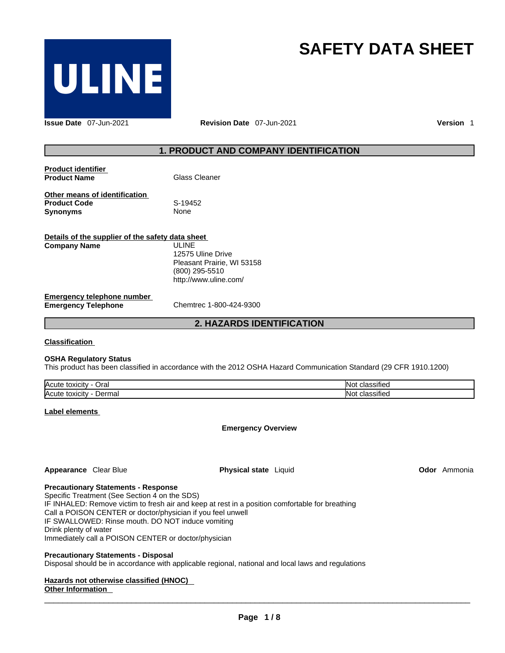

# **SAFETY DATA SHEET**

**Issue Date** 07-Jun-2021 **Revision Date** 07-Jun-2021 **Version** 1

# **1. PRODUCT AND COMPANY IDENTIFICATION**

| <b>Product identifier</b> |               |
|---------------------------|---------------|
| <b>Product Name</b>       | Glass Cleaner |

**Other means of identification**<br>**Product Code** S-19452 **Product Code** S-19452 **Synonyms** 

| Details of the supplier of the safety data sheet                |                                                                       |  |  |
|-----------------------------------------------------------------|-----------------------------------------------------------------------|--|--|
| <b>Company Name</b>                                             | ULINE.<br>12575 Uline Drive                                           |  |  |
|                                                                 | Pleasant Prairie, WI 53158<br>(800) 295-5510<br>http://www.uline.com/ |  |  |
| <b>Emergency telephone number</b><br><b>Emergency Telephone</b> | Chemtrec 1-800-424-9300                                               |  |  |

**2. HAZARDS IDENTIFICATION** 

#### **Classification**

#### **OSHA Regulatory Status**

This product has been classified in accordance with the 2012 OSHA Hazard Communication Standard (29 CFR 1910.1200)

| . .<br>Oral<br><b>IAcute</b><br>toxicity   | $\cdot$<br>.ING<br>sinec    |
|--------------------------------------------|-----------------------------|
| . .<br><b>Acute</b><br>Jermal<br>∈toxicit∨ | $\cdots$<br>-ING<br>™sille⊾ |

#### **Label elements**

**Emergency Overview** 

**Appearance** Clear Blue **Physical state** Liquid

**Odor** Ammonia

#### **Precautionary Statements - Response**

Specific Treatment (See Section 4 on the SDS) IF INHALED: Remove victim to fresh air and keep at rest in a position comfortable for breathing Call a POISON CENTER or doctor/physician if you feel unwell IF SWALLOWED: Rinse mouth. DO NOT induce vomiting Drink plenty of water Immediately call a POISON CENTER or doctor/physician

#### **Precautionary Statements - Disposal**

Disposal should be in accordance with applicable regional, national and local laws and regulations

# **Hazards not otherwise classified (HNOC)**

#### **Other Information**   $\_$  ,  $\_$  ,  $\_$  ,  $\_$  ,  $\_$  ,  $\_$  ,  $\_$  ,  $\_$  ,  $\_$  ,  $\_$  ,  $\_$  ,  $\_$  ,  $\_$  ,  $\_$  ,  $\_$  ,  $\_$  ,  $\_$  ,  $\_$  ,  $\_$  ,  $\_$  ,  $\_$  ,  $\_$  ,  $\_$  ,  $\_$  ,  $\_$  ,  $\_$  ,  $\_$  ,  $\_$  ,  $\_$  ,  $\_$  ,  $\_$  ,  $\_$  ,  $\_$  ,  $\_$  ,  $\_$  ,  $\_$  ,  $\_$  ,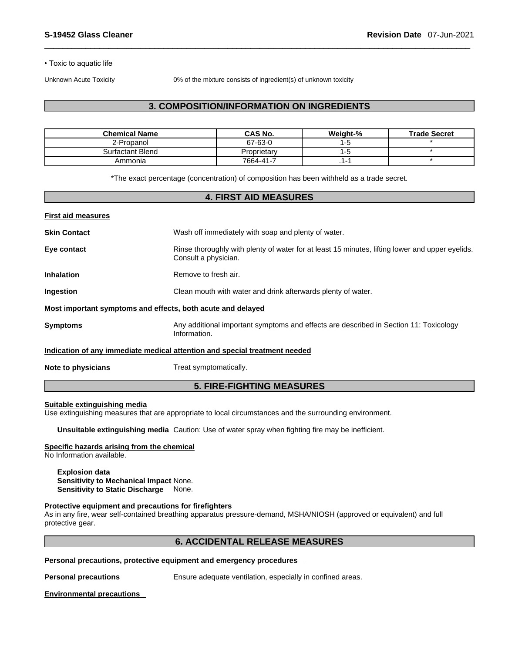• Toxic to aquatic life

Unknown Acute Toxicity 0% of the mixture consists of ingredient(s) of unknown toxicity

# **3. COMPOSITION/INFORMATION ON INGREDIENTS**

| <b>Chemical Name</b> | <b>CAS No.</b> | Weight-% | <b>Trade Secret</b> |
|----------------------|----------------|----------|---------------------|
| 2-Propanol           | 67-63-0        |          |                     |
| Surfactant Blend     | Proprietary    |          |                     |
| Ammonia              | 7664-41-7      |          |                     |

\*The exact percentage (concentration) of composition has been withheld as a trade secret.

#### **4. FIRST AID MEASURES**

| <b>First aid measures</b>                                   |                                                                                                                         |
|-------------------------------------------------------------|-------------------------------------------------------------------------------------------------------------------------|
| <b>Skin Contact</b>                                         | Wash off immediately with soap and plenty of water.                                                                     |
| Eye contact                                                 | Rinse thoroughly with plenty of water for at least 15 minutes, lifting lower and upper eyelids.<br>Consult a physician. |
| <b>Inhalation</b>                                           | Remove to fresh air.                                                                                                    |
| <b>Ingestion</b>                                            | Clean mouth with water and drink afterwards plenty of water.                                                            |
| Most important symptoms and effects, both acute and delayed |                                                                                                                         |
| <b>Symptoms</b>                                             | Any additional important symptoms and effects are described in Section 11: Toxicology<br>Information.                   |
|                                                             | Indication of any immediate medical attention and special treatment needed                                              |
| Note to physicians                                          | Treat symptomatically.                                                                                                  |

### **5. FIRE-FIGHTING MEASURES**

# **Suitable extinguishing media**

Use extinguishing measures that are appropriate to local circumstances and the surrounding environment.

**Unsuitable extinguishing media** Caution: Use of water spray when fighting fire may be inefficient.

#### **Specific hazards arising from the chemical**

No Information available.

**Explosion data Sensitivity to Mechanical Impact** None. **Sensitivity to Static Discharge** None.

#### **Protective equipment and precautions for firefighters**

As in any fire, wear self-contained breathing apparatus pressure-demand, MSHA/NIOSH (approved or equivalent) and full protective gear.

#### **6. ACCIDENTAL RELEASE MEASURES**

**Personal precautions, protective equipment and emergency procedures**

**Personal precautions** Ensure adequate ventilation, especially in confined areas.

**Environmental precautions**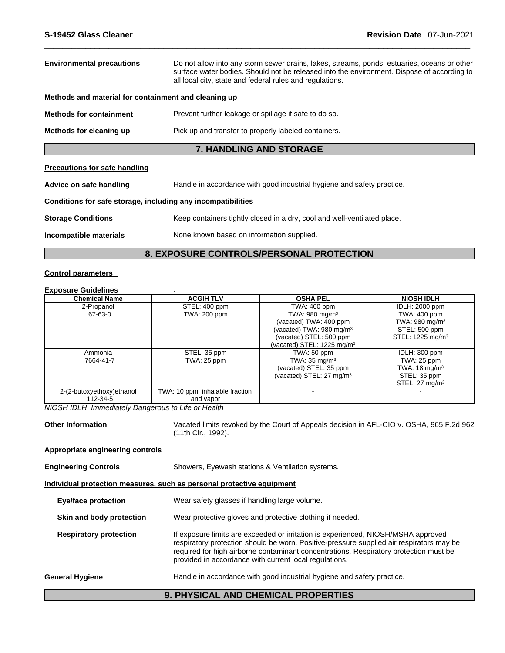| <b>Environmental precautions</b>                             | Do not allow into any storm sewer drains, lakes, streams, ponds, estuaries, oceans or other<br>surface water bodies. Should not be released into the environment. Dispose of according to<br>all local city, state and federal rules and regulations. |  |  |
|--------------------------------------------------------------|-------------------------------------------------------------------------------------------------------------------------------------------------------------------------------------------------------------------------------------------------------|--|--|
| Methods and material for containment and cleaning up         |                                                                                                                                                                                                                                                       |  |  |
| <b>Methods for containment</b>                               | Prevent further leakage or spillage if safe to do so.                                                                                                                                                                                                 |  |  |
| Methods for cleaning up                                      | Pick up and transfer to properly labeled containers.                                                                                                                                                                                                  |  |  |
|                                                              | <b>7. HANDLING AND STORAGE</b>                                                                                                                                                                                                                        |  |  |
| <b>Precautions for safe handling</b>                         |                                                                                                                                                                                                                                                       |  |  |
| Advice on safe handling                                      | Handle in accordance with good industrial hygiene and safety practice.                                                                                                                                                                                |  |  |
| Conditions for safe storage, including any incompatibilities |                                                                                                                                                                                                                                                       |  |  |
| <b>Storage Conditions</b>                                    | Keep containers tightly closed in a dry, cool and well-ventilated place.                                                                                                                                                                              |  |  |
| Incompatible materials                                       | None known based on information supplied.                                                                                                                                                                                                             |  |  |
|                                                              |                                                                                                                                                                                                                                                       |  |  |

# **8. EXPOSURE CONTROLS/PERSONAL PROTECTION**

# **Control parameters**

# **Exposure Guidelines** .

| <b>Chemical Name</b>      | <b>ACGIH TLV</b>               | <b>OSHA PEL</b>                        | <b>NIOSH IDLH</b>            |
|---------------------------|--------------------------------|----------------------------------------|------------------------------|
| 2-Propanol                | STEL: 400 ppm                  | TWA: 400 ppm                           | <b>IDLH: 2000 ppm</b>        |
| 67-63-0                   | TWA: 200 ppm                   | TWA: $980 \text{ mg/m}^3$              | TWA: 400 ppm                 |
|                           |                                | (vacated) TWA: 400 ppm                 | TWA: 980 mg/m $3$            |
|                           |                                | (vacated) TWA: 980 mg/m <sup>3</sup>   | STEL: 500 ppm                |
|                           |                                | (vacated) STEL: 500 ppm                | STEL: 1225 mg/m <sup>3</sup> |
|                           |                                | (vacated) STEL: 1225 mg/m <sup>3</sup> |                              |
| Ammonia                   | STEL: 35 ppm                   | TWA: 50 ppm                            | IDLH: 300 ppm                |
| 7664-41-7                 | TWA: 25 ppm                    | TWA: $35 \text{ mg/m}^3$               | TWA: 25 ppm                  |
|                           |                                | (vacated) STEL: 35 ppm                 | TWA: $18 \text{ mg/m}^3$     |
|                           |                                | (vacated) STEL: $27 \text{ mg/m}^3$    | STEL: 35 ppm                 |
|                           |                                |                                        | STEL: $27 \text{ mg/m}^3$    |
| 2-(2-butoxyethoxy)ethanol | TWA: 10 ppm inhalable fraction |                                        |                              |
| 112-34-5                  | and vapor                      |                                        |                              |

*NIOSH IDLH Immediately Dangerous to Life or Health* 

**Other Information** Vacated limits revoked by the Court of Appeals decision in AFL-CIO v.OSHA, 965 F.2d 962 (11th Cir., 1992).

#### **Appropriate engineering controls**

| <b>Engineering Controls</b> | Showers, Eyewash stations & Ventilation systems. |  |
|-----------------------------|--------------------------------------------------|--|
|-----------------------------|--------------------------------------------------|--|

#### **Individual protection measures, such as personal protective equipment**

**Eye/face protection** Wear safety glasses if handling large volume.

**Skin and body protection** Wear protective gloves and protective clothing if needed.

**Respiratory protection** If exposure limits are exceeded or irritation is experienced, NIOSH/MSHA approved respiratory protection should be worn. Positive-pressure supplied air respirators may be required for high airborne contaminant concentrations. Respiratory protection must be provided in accordance with current local regulations.

# **General Hygiene Handle in accordance with good industrial hygiene and safety practice.**

#### **9. PHYSICAL AND CHEMICAL PROPERTIES**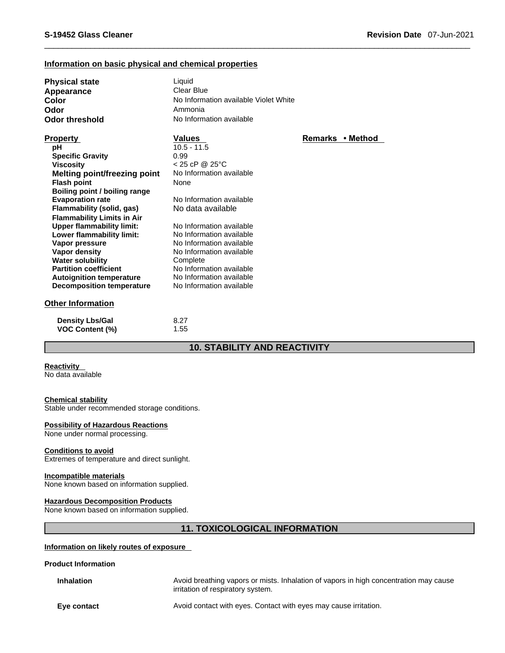# **Information on basic physical and chemical properties**

| <b>Physical state</b><br>Appearance<br>Color<br>Odor<br>Odor threshold | Liquid<br>Clear Blue<br>No Information available Violet White<br>Ammonia<br>No Information available |                  |
|------------------------------------------------------------------------|------------------------------------------------------------------------------------------------------|------------------|
| <b>Property</b>                                                        | <b>Values</b>                                                                                        | Remarks • Method |
| рH                                                                     | $10.5 - 11.5$                                                                                        |                  |
| <b>Specific Gravity</b>                                                | 0.99                                                                                                 |                  |
| <b>Viscosity</b>                                                       | $< 25$ cP @ 25°C                                                                                     |                  |
| Melting point/freezing point                                           | No Information available                                                                             |                  |
| <b>Flash point</b>                                                     | None                                                                                                 |                  |
| Boiling point / boiling range                                          |                                                                                                      |                  |
| <b>Evaporation rate</b>                                                | No Information available                                                                             |                  |
| Flammability (solid, gas)                                              | No data available                                                                                    |                  |
| <b>Flammability Limits in Air</b>                                      |                                                                                                      |                  |
| <b>Upper flammability limit:</b>                                       | No Information available                                                                             |                  |
| Lower flammability limit:                                              | No Information available                                                                             |                  |
| Vapor pressure                                                         | No Information available                                                                             |                  |
| Vapor density                                                          | No Information available                                                                             |                  |
| <b>Water solubility</b>                                                | Complete                                                                                             |                  |
| <b>Partition coefficient</b>                                           | No Information available                                                                             |                  |
| <b>Autoignition temperature</b>                                        | No Information available                                                                             |                  |
| <b>Decomposition temperature</b>                                       | No Information available                                                                             |                  |
| <b>Other Information</b>                                               |                                                                                                      |                  |
| <b>Density Lbs/Gal</b>                                                 | 8.27                                                                                                 |                  |
| <b>VOC Content (%)</b>                                                 | 1.55                                                                                                 |                  |

#### **10. STABILITY AND REACTIVITY**

#### **Reactivity**

No data available

#### **Chemical stability**

Stable under recommended storage conditions.

#### **Possibility of Hazardous Reactions**

None under normal processing.

#### **Conditions to avoid**

Extremes of temperature and direct sunlight.

#### **Incompatible materials**

None known based on information supplied.

#### **Hazardous Decomposition Products**

None known based on information supplied.

# **11. TOXICOLOGICAL INFORMATION**

#### **Information on likely routes of exposure**

**Product Information**

**Inhalation** Avoid breathing vapors or mists. Inhalation of vapors in high concentration may cause irritation of respiratory system.

**Eye contact** Avoid contact with eyes. Contact with eyes may cause irritation.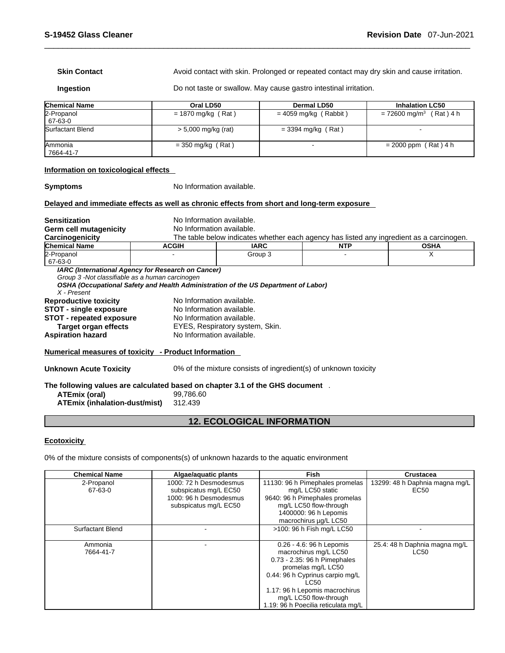**Skin Contact Avoid contact with skin. Prolonged or repeated contact may dry skin and cause irritation.** 

**Ingestion Do not taste or swallow. May cause gastro intestinal irritation.** 

| <b>Chemical Name</b>           | Oral LD50             | Dermal LD50           | <b>Inhalation LC50</b>                |
|--------------------------------|-----------------------|-----------------------|---------------------------------------|
| 2-Propanol<br>67-63-0          | $= 1870$ mg/kg (Rat)  | = 4059 mg/kg (Rabbit) | $= 72600$ mg/m <sup>3</sup> (Rat) 4 h |
| Surfactant Blend               | $> 5,000$ mg/kg (rat) | $=$ 3394 mg/kg (Rat)  |                                       |
| <b>IAmmonia</b><br>  7664-41-7 | $=$ 350 mg/kg (Rat)   |                       | $= 2000$ ppm (Rat) 4 h                |

#### **Information on toxicological effects**

**Symptoms** No Information available.

#### **Delayed and immediate effects as well as chronic effects from short and long-term exposure**

| <b>Sensitization</b>                                                           | No Information available.                          |                                                                                          |            |             |  |
|--------------------------------------------------------------------------------|----------------------------------------------------|------------------------------------------------------------------------------------------|------------|-------------|--|
| Germ cell mutagenicity                                                         | No Information available.                          |                                                                                          |            |             |  |
| Carcinogenicity                                                                |                                                    | The table below indicates whether each agency has listed any ingredient as a carcinogen. |            |             |  |
| <b>Chemical Name</b>                                                           | <b>ACGIH</b>                                       | <b>IARC</b>                                                                              | <b>NTP</b> | <b>OSHA</b> |  |
| 2-Propanol<br>67-63-0                                                          |                                                    | Group 3                                                                                  |            | X           |  |
| Group 3 - Not classifiable as a human carcinogen<br>X - Present                | IARC (International Agency for Research on Cancer) | OSHA (Occupational Safety and Health Administration of the US Department of Labor)       |            |             |  |
| <b>Reproductive toxicity</b>                                                   | No Information available.                          |                                                                                          |            |             |  |
| <b>STOT - single exposure</b>                                                  | No Information available.                          |                                                                                          |            |             |  |
| <b>STOT - repeated exposure</b>                                                | No Information available.                          |                                                                                          |            |             |  |
| Target organ effects                                                           |                                                    | EYES, Respiratory system, Skin.                                                          |            |             |  |
| <b>Aspiration hazard</b>                                                       |                                                    | No Information available.                                                                |            |             |  |
| Numerical measures of toxicity - Product Information                           |                                                    |                                                                                          |            |             |  |
| <b>Unknown Acute Toxicity</b>                                                  |                                                    | 0% of the mixture consists of ingredient(s) of unknown toxicity                          |            |             |  |
| The following values are calculated based on chapter 3.1 of the GHS document . |                                                    |                                                                                          |            |             |  |
| ATEmix (oral)                                                                  | 99,786.60                                          |                                                                                          |            |             |  |
| ATEmix (inhalation-dust/mist)                                                  | 312.439                                            |                                                                                          |            |             |  |

# **12. ECOLOGICAL INFORMATION**

#### **Ecotoxicity**

0% of the mixture consists of components(s) of unknown hazards to the aquatic environment

| <b>Chemical Name</b>    | Algae/aguatic plants   | <b>Fish</b>                         | <b>Crustacea</b>               |
|-------------------------|------------------------|-------------------------------------|--------------------------------|
| 2-Propanol              | 1000: 72 h Desmodesmus | 11130: 96 h Pimephales promelas     | 13299: 48 h Daphnia magna mg/L |
| 67-63-0                 | subspicatus mg/L EC50  | mg/L LC50 static                    | EC50                           |
|                         | 1000: 96 h Desmodesmus | 9640: 96 h Pimephales promelas      |                                |
|                         | subspicatus mg/L EC50  | mg/L LC50 flow-through              |                                |
|                         |                        | 1400000: 96 h Lepomis               |                                |
|                         |                        | macrochirus ug/L LC50               |                                |
| <b>Surfactant Blend</b> |                        | >100: 96 h Fish mg/L LC50           |                                |
|                         |                        |                                     |                                |
| Ammonia                 |                        | 0.26 - 4.6: 96 h Lepomis            | 25.4: 48 h Daphnia magna mg/L  |
| 7664-41-7               |                        | macrochirus mg/L LC50               | <b>LC50</b>                    |
|                         |                        | 0.73 - 2.35: 96 h Pimephales        |                                |
|                         |                        | promelas mg/L LC50                  |                                |
|                         |                        | 0.44: 96 h Cyprinus carpio mg/L     |                                |
|                         |                        | LC50                                |                                |
|                         |                        | 1.17: 96 h Lepomis macrochirus      |                                |
|                         |                        | mg/L LC50 flow-through              |                                |
|                         |                        | 1.19: 96 h Poecilia reticulata mg/L |                                |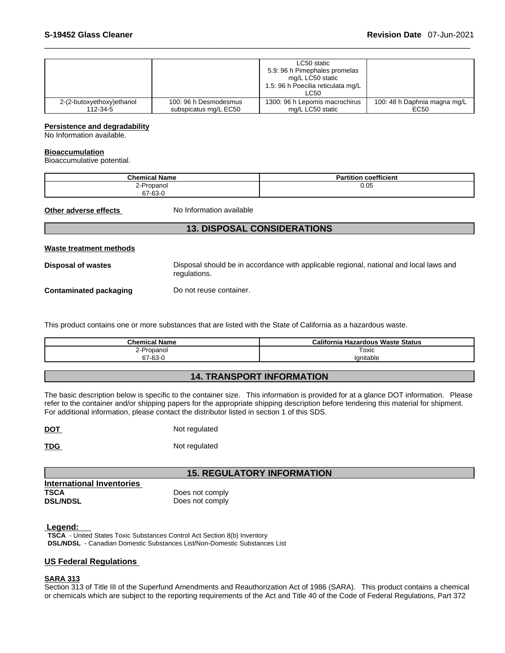|                           |                       | LC50 static<br>5.9: 96 h Pimephales promelas<br>mg/L LC50 static<br>1.5: 96 h Poecilia reticulata mg/L<br>LC50 |                              |
|---------------------------|-----------------------|----------------------------------------------------------------------------------------------------------------|------------------------------|
| 2-(2-butoxyethoxy)ethanol | 100: 96 h Desmodesmus | 1300: 96 h Lepomis macrochirus                                                                                 | 100: 48 h Daphnia magna mg/L |
| 112-34-5                  | subspicatus mg/L EC50 | mg/L LC50 static                                                                                               | EC50                         |

#### **Persistence and degradability**

No Information available.

#### **Bioaccumulation**

Bioaccumulative potential.

| <b>Chemical Name</b> | coefficient<br><b>Partition</b> |
|----------------------|---------------------------------|
| -Propanol<br>2-P     | 0.05                            |
| 67-63-0              |                                 |

**Other adverse effects** No Information available

# **13. DISPOSAL CONSIDERATIONS**

| Waste treatment methods |                                                                                                        |
|-------------------------|--------------------------------------------------------------------------------------------------------|
| Disposal of wastes      | Disposal should be in accordance with applicable regional, national and local laws and<br>regulations. |
| Contaminated packaging  | Do not reuse container.                                                                                |

This product contains one or more substances that are listed with the State of California as a hazardous waste.

| <b>Chemical Name</b> | <b>California Hazardous Waste Status</b> |
|----------------------|------------------------------------------|
| ≀-Propanol<br>∼      | Toxic                                    |
| 67-63-0              | Ignitable                                |

# **14. TRANSPORT INFORMATION**

The basic description below is specific to the container size. This information is provided for at a glance DOT information. Please refer to the container and/or shipping papers for the appropriate shipping description before tendering this material for shipment. For additional information, please contact the distributor listed in section 1 of this SDS.

**DOT** Not regulated

**TDG** Not regulated

# **15. REGULATORY INFORMATION**

| International Inventories |                 |
|---------------------------|-----------------|
| TSCA                      | Does not comply |
| <b>DSL/NDSL</b>           | Does not comply |
|                           |                 |

#### **Legend:**

**TSCA** - United States Toxic Substances Control Act Section 8(b) Inventory **DSL/NDSL** - Canadian Domestic Substances List/Non-Domestic Substances List

#### **US Federal Regulations**

#### **SARA 313**

Section 313 of Title III of the Superfund Amendments and Reauthorization Act of 1986 (SARA). This product contains a chemical or chemicals which are subject to the reporting requirements of the Act and Title 40 of the Code of Federal Regulations, Part 372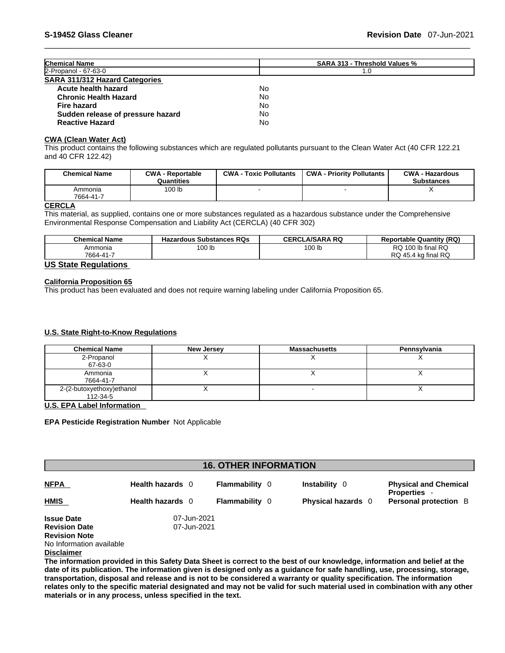| <b>Chemical Name</b>                  | <b>SARA 313 - Threshold Values %</b> |
|---------------------------------------|--------------------------------------|
| 2-Propanol - 67-63-0                  | 1.0                                  |
| <b>SARA 311/312 Hazard Categories</b> |                                      |
| Acute health hazard                   | No.                                  |
| <b>Chronic Health Hazard</b>          | No.                                  |
| Fire hazard                           | No.                                  |
| Sudden release of pressure hazard     | No.                                  |
| <b>Reactive Hazard</b>                | No.                                  |

# **CWA (Clean WaterAct)**

This product contains the following substances which are regulated pollutants pursuant to the Clean Water Act (40 CFR 122.21 and 40 CFR 122.42)

| <b>Chemical Name</b> | <b>CWA - Reportable</b><br>Quantities | <b>CWA - Toxic Pollutants</b> | <b>CWA - Priority Pollutants</b> | <b>CWA - Hazardous</b><br><b>Substances</b> |
|----------------------|---------------------------------------|-------------------------------|----------------------------------|---------------------------------------------|
| Ammonia<br>7664-41-7 | 100 lb                                |                               |                                  |                                             |

# **CERCLA**

This material, as supplied, contains one or more substances regulated as a hazardous substance under the Comprehensive Environmental Response Compensation and Liability Act (CERCLA) (40 CFR 302)

| <b>Chemical Name</b> | <b>Hazardous Substances RQs</b> | <b>CERCLA/SARA RQ</b> | <b>Reportable Quantity (RQ)</b> |
|----------------------|---------------------------------|-----------------------|---------------------------------|
| Ammonia              | 100 lb                          | 100 lb                | RQ 100 lb final RQ              |
| 7664-41-7            |                                 |                       | RQ 45.4 kg final RQ             |

#### **US State Regulations**

#### **California Proposition 65**

This product has been evaluated and does not require warning labeling under California Proposition 65.

#### **U.S. State Right-to-Know Regulations**

| <b>Chemical Name</b>      | <b>New Jersey</b> | <b>Massachusetts</b> | Pennsylvania |
|---------------------------|-------------------|----------------------|--------------|
| 2-Propanol                |                   |                      |              |
| 67-63-0                   |                   |                      |              |
| Ammonia                   |                   |                      |              |
| 7664-41-7                 |                   |                      |              |
| 2-(2-butoxyethoxy)ethanol |                   |                      |              |
| 112-34-5                  |                   |                      |              |

#### **U.S. EPA Label Information**

#### **EPA Pesticide Registration Number** Not Applicable

| <b>16. OTHER INFORMATION</b> |                  |                       |                           |                                                   |
|------------------------------|------------------|-----------------------|---------------------------|---------------------------------------------------|
| <b>NFPA</b>                  | Health hazards 0 | <b>Flammability</b> 0 | <b>Instability</b> 0      | <b>Physical and Chemical</b><br><b>Properties</b> |
| <b>HMIS</b>                  | Health hazards 0 | <b>Flammability</b> 0 | <b>Physical hazards</b> 0 | <b>Personal protection</b> B                      |
| <b>Issue Date</b>            | 07-Jun-2021      |                       |                           |                                                   |
| <b>Revision Date</b>         | 07-Jun-2021      |                       |                           |                                                   |
| <b>Revision Note</b>         |                  |                       |                           |                                                   |
| No Information available     |                  |                       |                           |                                                   |
| <b>Disclaimer</b>            |                  |                       |                           |                                                   |

The information provided in this Safety Data Sheet is correct to the best of our knowledge, information and belief at the date of its publication. The information given is designed only as a guidance for safe handling, use, processing, storage, transportation, disposal and release and is not to be considered a warranty or quality specification. The information relates only to the specific material designated and may not be valid for such material used in combination with any other **materials or in any process,unless specified in the text.**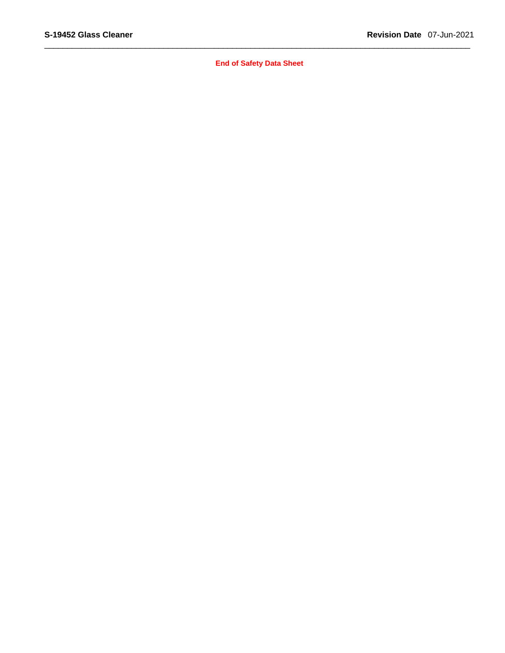**End of Safety Data Sheet**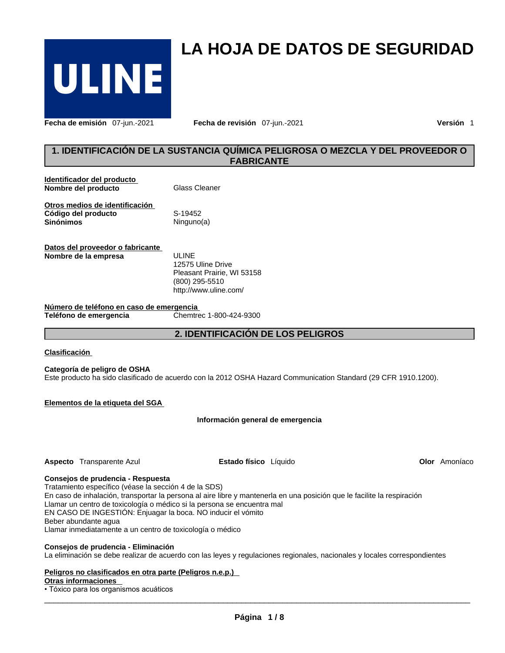

**Fecha de emisión** 07-jun.-2021 **Fecha de revisión** 07-jun.-2021 **Versión** 1

# **1. IDENTIFICACIÓN DE LA SUSTANCIA QUÍMICA PELIGROSA O MEZCLA Y DEL PROVEEDOR O FABRICANTE**

**LA HOJA DE DATOS DE SEGURIDAD** 

| Identificador del producto<br>Nombre del producto                         | Glass Cleaner         |
|---------------------------------------------------------------------------|-----------------------|
| Otros medios de identificación<br>Código del producto<br><b>Sinónimos</b> | S-19452<br>Ninguno(a) |
| Datos del proveedor o fabricante<br>Nombre de la empresa                  | UI INF                |

12575 Uline Drive Pleasant Prairie, WI 53158 (800) 295-5510 http://www.uline.com/

**Número de teléfono en caso de emergencia Teléfono** de emergencia

**2. IDENTIFICACIÓN DE LOS PELIGROS**

#### **Clasificación**

#### **Categoría de peligro de OSHA**

Este producto ha sido clasificado de acuerdo con la 2012 OSHA Hazard Communication Standard (29 CFR 1910.1200).

#### **Elementos de la etiqueta del SGA**

#### **Información general de emergencia**

**Aspecto** Transparente Azul **Estado físico** Líquido

**Olor** Amoníaco

#### **Consejos de prudencia - Respuesta**

Tratamiento específico (véase la sección 4 de la SDS) En caso de inhalación, transportar la persona al aire libre y mantenerla en una posición que le facilite la respiración Llamar un centro de toxicología o médico si la persona se encuentra mal EN CASO DE INGESTIÓN: Enjuagar la boca. NO inducir el vómito Beber abundante agua

Llamar inmediatamente a un centro de toxicología o médico

#### **Consejos de prudencia - Eliminación**

La eliminación se debe realizar de acuerdo con las leyes y regulaciones regionales, nacionales y locales correspondientes

#### **Peligros no clasificados en otra parte (Peligros n.e.p.)**

#### **Otras informaciones**

• Tóxico para los organismos acuáticos

 $\_$  ,  $\_$  ,  $\_$  ,  $\_$  ,  $\_$  ,  $\_$  ,  $\_$  ,  $\_$  ,  $\_$  ,  $\_$  ,  $\_$  ,  $\_$  ,  $\_$  ,  $\_$  ,  $\_$  ,  $\_$  ,  $\_$  ,  $\_$  ,  $\_$  ,  $\_$  ,  $\_$  ,  $\_$  ,  $\_$  ,  $\_$  ,  $\_$  ,  $\_$  ,  $\_$  ,  $\_$  ,  $\_$  ,  $\_$  ,  $\_$  ,  $\_$  ,  $\_$  ,  $\_$  ,  $\_$  ,  $\_$  ,  $\_$  ,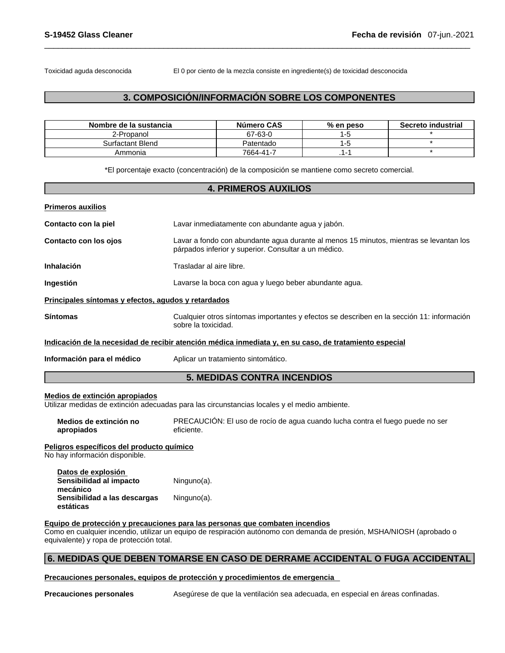Toxicidad aguda desconocida El 0 por ciento de la mezcla consiste en ingrediente(s) de toxicidad desconocida

# **3. COMPOSICIÓN/INFORMACIÓN SOBRE LOS COMPONENTES**

| Nombre de la sustancia | Número CAS | % en peso | Secreto industrial |
|------------------------|------------|-----------|--------------------|
| 2-Propanol             | 67-63-0    |           |                    |
| Surfactant Blend       | Patentado  | -6        |                    |
| Ammonia                | 7664-41-7  | . .       |                    |

\*El porcentaje exacto (concentración) de la composición se mantiene como secreto comercial.

#### **4. PRIMEROS AUXILIOS**

| <b>Primeros auxilios</b>                                                                               |                                                                                                                                                |  |  |
|--------------------------------------------------------------------------------------------------------|------------------------------------------------------------------------------------------------------------------------------------------------|--|--|
| Contacto con la piel                                                                                   | Lavar inmediatamente con abundante agua y jabón.                                                                                               |  |  |
| Contacto con los ojos                                                                                  | Lavar a fondo con abundante agua durante al menos 15 minutos, mientras se levantan los<br>párpados inferior y superior. Consultar a un médico. |  |  |
| <b>Inhalación</b>                                                                                      | Trasladar al aire libre.                                                                                                                       |  |  |
| Ingestión                                                                                              | Lavarse la boca con agua y luego beber abundante agua.                                                                                         |  |  |
| Principales síntomas y efectos, agudos y retardados                                                    |                                                                                                                                                |  |  |
| <b>Síntomas</b>                                                                                        | Cualquier otros síntomas importantes y efectos se describen en la sección 11: información<br>sobre la toxicidad.                               |  |  |
| Indicación de la necesidad de recibir atención médica inmediata y, en su caso, de tratamiento especial |                                                                                                                                                |  |  |
| Información para el médico                                                                             | Aplicar un tratamiento sintomático.                                                                                                            |  |  |

# **5. MEDIDAS CONTRA INCENDIOS**

#### **Medios de extinción apropiados**

Utilizar medidas de extinción adecuadas para las circunstancias locales y el medio ambiente.

| Medios de extinción no | PRECAUCIÓN: El uso de rocío de agua cuando lucha contra el fuego puede no ser |
|------------------------|-------------------------------------------------------------------------------|
| apropiados             | eficiente.                                                                    |

#### **Peligros específicos del producto químico**

No hay información disponible.

| Datos de explosión                        |             |
|-------------------------------------------|-------------|
| Sensibilidad al impacto<br>mecánico       | Ninguno(a). |
| Sensibilidad a las descargas<br>estáticas | Ninguno(a). |

#### **Equipo de protección y precauciones para las personas que combaten incendios**

Como en cualquier incendio, utilizar un equipo de respiración autónomo con demanda de presión, MSHA/NIOSH (aprobado o equivalente) y ropa de protección total.

### **6. MEDIDAS QUE DEBEN TOMARSE EN CASO DE DERRAME ACCIDENTAL O FUGA ACCIDENTAL**

#### **Precauciones personales, equipos de protección y procedimientos de emergencia**

**Precauciones personales** Asegúrese de que la ventilación sea adecuada, en especial en áreas confinadas.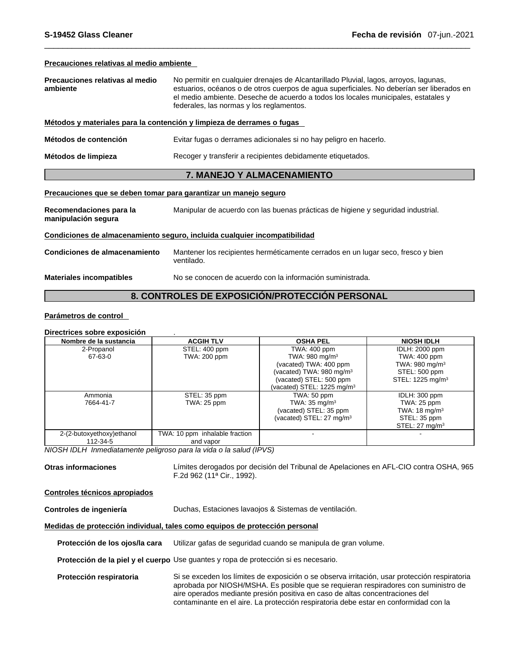**Precauciones relativas al medio ambiente**

| Precauciones relativas al medio | No permitir en cualquier drenajes de Alcantarillado Pluvial, lagos, arroyos, lagunas,     |
|---------------------------------|-------------------------------------------------------------------------------------------|
| ambiente                        | estuarios, océanos o de otros cuerpos de aqua superficiales. No deberían ser liberados en |
|                                 | el medio ambiente. Deseche de acuerdo a todos los locales municipales, estatales y        |
|                                 | federales, las normas y los reglamentos.                                                  |
|                                 |                                                                                           |

#### **Métodos y materiales para la contención y limpieza de derrames o fugas**

**Métodos de contención** Evitar fugas o derrames adicionales si no hay peligro en hacerlo.

**Métodos de limpieza** Recoger y transferir a recipientes debidamente etiquetados.

#### **7. MANEJO Y ALMACENAMIENTO**

#### **Precauciones que se deben tomar para garantizar un manejo seguro**

**Recomendaciones para la manipulación segura** Manipular de acuerdo con las buenas prácticas de higiene y seguridad industrial. **Condiciones de almacenamiento seguro, incluida cualquier incompatibilidad**

**Condiciones de almacenamiento** Mantener los recipientes herméticamente cerrados en un lugar seco, fresco y bien ventilado.

**Materiales incompatibles** No se conocen de acuerdo con la información suministrada.

# **8. CONTROLES DE EXPOSICIÓN/PROTECCIÓN PERSONAL**

#### **Parámetros de control**

#### **Directrices sobre exposición** .

| Nombre de la sustancia    | <b>ACGIH TLV</b>               | <b>OSHA PEL</b>                     | <b>NIOSH IDLH</b>            |
|---------------------------|--------------------------------|-------------------------------------|------------------------------|
| 2-Propanol                | STEL: 400 ppm                  | TWA: 400 ppm                        | <b>IDLH: 2000 ppm</b>        |
| 67-63-0                   | TWA: 200 ppm                   | TWA: $980 \text{ mg/m}^3$           | TWA: 400 ppm                 |
|                           |                                | (vacated) TWA: 400 ppm              | TWA: 980 mg/m $3$            |
|                           |                                | (vacated) TWA: $980 \text{ mg/m}^3$ | STEL: 500 ppm                |
|                           |                                | (vacated) STEL: 500 ppm             | STEL: 1225 mg/m <sup>3</sup> |
|                           |                                | (vacated) STEL: 1225 mg/m $3$       |                              |
| Ammonia                   | STEL: 35 ppm                   | TWA: 50 ppm                         | IDLH: 300 ppm                |
| 7664-41-7                 | TWA: 25 ppm                    | TWA: $35 \text{ mg/m}^3$            | TWA: 25 ppm                  |
|                           |                                | (vacated) STEL: 35 ppm              | TWA: $18 \text{ mg/m}^3$     |
|                           |                                | (vacated) STEL: 27 mg/m $3$         | STEL: 35 ppm                 |
|                           |                                |                                     | STEL: $27 \text{ mg/m}^3$    |
| 2-(2-butoxyethoxy)ethanol | TWA: 10 ppm inhalable fraction |                                     |                              |
| 112-34-5                  | and vapor                      |                                     |                              |

*NIOSH IDLH Inmediatamente peligroso para la vida o la salud (IPVS)* 

**Otras informaciones** Límites derogados por decisión del Tribunal de Apelaciones en AFL-CIO contra OSHA, 965 F.2d 962 (11ª Cir., 1992).

#### **Controles técnicos apropiados**

**Controles de ingeniería** Duchas, Estaciones lavaojos & Sistemas de ventilación.

#### **Medidas de protección individual, tales como equipos de protección personal**

**Protección de los ojos/la cara** Utilizar gafas de seguridad cuando se manipula de gran volume.

**Protección de la piel y el cuerpo** Use guantes y ropa de protección si es necesario.

**Protección respiratoria** Si se exceden los límites de exposición o se observa irritación, usar protección respiratoria aprobada por NIOSH/MSHA. Es posible que se requieran respiradores con suministro de aire operados mediante presión positiva en caso de altas concentraciones del contaminante en el aire. La protección respiratoria debe estar en conformidad con la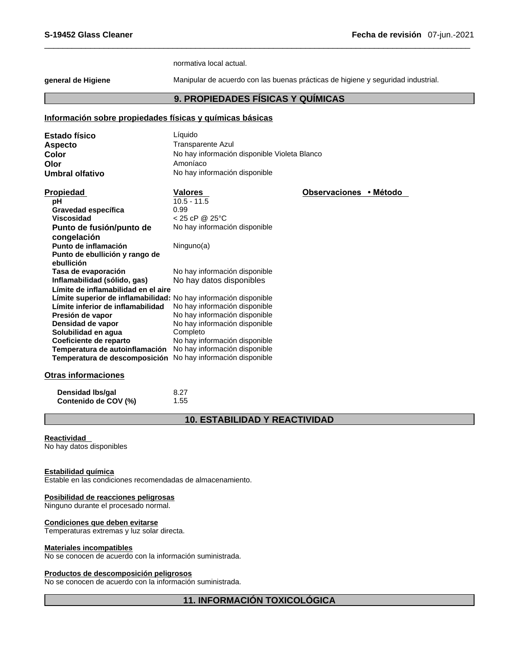normativa local actual.

**general de Higiene** Manipular de acuerdo con las buenas prácticas de higiene y seguridad industrial.

# **9. PROPIEDADES FÍSICAS Y QUÍMICAS**

# **Información sobre propiedades físicas y químicas básicas**

| <b>Estado físico</b> | Líauido                                      |
|----------------------|----------------------------------------------|
| <b>Aspecto</b>       | Transparente Azul                            |
| Color                | No hay información disponible Violeta Blanco |
| Olor                 | Amoníaco                                     |
| Umbral olfativo      | No hay información disponible                |

| Propiedad                                                        | Valores                       | Observaciones • Método |  |
|------------------------------------------------------------------|-------------------------------|------------------------|--|
| рH                                                               | $10.5 - 11.5$                 |                        |  |
| Gravedad específica                                              | 0.99                          |                        |  |
| Viscosidad                                                       | $<$ 25 cP @ 25 °C             |                        |  |
| Punto de fusión/punto de                                         | No hay información disponible |                        |  |
| congelación                                                      |                               |                        |  |
| Punto de inflamación                                             | Ninguno(a)                    |                        |  |
| Punto de ebullición y rango de                                   |                               |                        |  |
| ebullición                                                       |                               |                        |  |
| Tasa de evaporación                                              | No hay información disponible |                        |  |
| Inflamabilidad (sólido, gas)                                     | No hay datos disponibles      |                        |  |
| Límite de inflamabilidad en el aire                              |                               |                        |  |
| Límite superior de inflamabilidad: No hay información disponible |                               |                        |  |
| Límite inferior de inflamabilidad                                | No hay información disponible |                        |  |
| Presión de vapor                                                 | No hay información disponible |                        |  |
| Densidad de vapor                                                | No hay información disponible |                        |  |
| Solubilidad en aqua                                              | Completo                      |                        |  |
| Coeficiente de reparto                                           | No hay información disponible |                        |  |
| Temperatura de autoinflamación                                   | No hay información disponible |                        |  |
| Temperatura de descomposición                                    | No hay información disponible |                        |  |

#### **Otras informaciones**

| Densidad Ibs/gal     | 8.27 |
|----------------------|------|
| Contenido de COV (%) | 1.55 |

# **10. ESTABILIDAD Y REACTIVIDAD**

#### **Reactividad**

No hay datos disponibles

#### **Estabilidad química**

Estable en las condiciones recomendadas de almacenamiento.

#### **Posibilidad de reacciones peligrosas**

Ninguno durante el procesado normal.

# **Condiciones que deben evitarse**

Temperaturas extremas y luz solar directa.

#### **Materiales incompatibles**

No se conocen de acuerdo con la información suministrada.

# **Productos de descomposición peligrosos**

No se conocen de acuerdo con la información suministrada.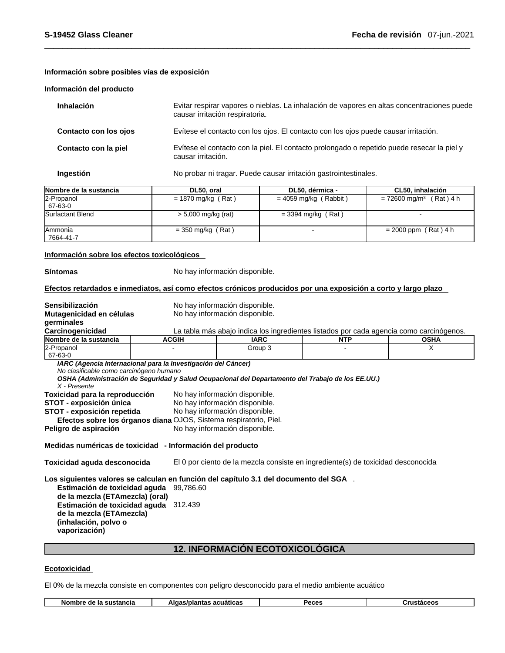### **Información sobre posibles vías de exposición**

#### **Información del producto**

| <b>Inhalación</b>     | Evitar respirar vapores o nieblas. La inhalación de vapores en altas concentraciones puede<br>causar irritación respiratoria. |
|-----------------------|-------------------------------------------------------------------------------------------------------------------------------|
| Contacto con los ojos | Evítese el contacto con los ojos. El contacto con los ojos puede causar irritación.                                           |
| Contacto con la piel  | Evítese el contacto con la piel. El contacto prolongado o repetido puede resecar la piel y<br>causar irritación.              |
| Ingestión             | No probar ni tragar. Puede causar irritación gastrointestinales.                                                              |

| Nombre de la sustancia       | DL50, oral            | DL50, dérmica -         | CL50, inhalación                      |
|------------------------------|-----------------------|-------------------------|---------------------------------------|
| 2-Propanol<br>67-63-0        | $= 1870$ mg/kg (Rat)  | $= 4059$ mg/kg (Rabbit) | $= 72600$ mg/m <sup>3</sup> (Rat) 4 h |
| Surfactant Blend             | $> 5,000$ mg/kg (rat) | $=$ 3394 mg/kg (Rat)    |                                       |
| <b>IAmmonia</b><br>7664-41-7 | $=$ 350 mg/kg (Rat)   |                         | $= 2000$ ppm (Rat) 4 h                |

#### **Información sobre los efectos toxicológicos**

**Síntomas** No hay información disponible.

Efectos retardados e inmediatos, así como efectos crónicos producidos por una exposición a corto y largo plazo

| Sensibilización                                                                       |                                | No hay información disponible.                                                                    |            |             |  |  |  |
|---------------------------------------------------------------------------------------|--------------------------------|---------------------------------------------------------------------------------------------------|------------|-------------|--|--|--|
| Mutagenicidad en células                                                              |                                | No hay información disponible.                                                                    |            |             |  |  |  |
| germinales                                                                            |                                |                                                                                                   |            |             |  |  |  |
| Carcinogenicidad                                                                      |                                | La tabla más abajo indica los ingredientes listados por cada agencia como carcinógenos.           |            |             |  |  |  |
| Nombre de la sustancia                                                                | <b>ACGIH</b>                   | <b>IARC</b>                                                                                       | <b>NTP</b> | <b>OSHA</b> |  |  |  |
| 2-Propanol<br>67-63-0                                                                 |                                | Group 3                                                                                           |            | X           |  |  |  |
| IARC (Agencia Internacional para la Investigación del Cáncer)                         |                                |                                                                                                   |            |             |  |  |  |
| No clasificable como carcinógeno humano                                               |                                |                                                                                                   |            |             |  |  |  |
|                                                                                       |                                | OSHA (Administración de Seguridad y Salud Ocupacional del Departamento del Trabajo de los EE.UU.) |            |             |  |  |  |
| X - Presente                                                                          |                                |                                                                                                   |            |             |  |  |  |
| Toxicidad para la reproducción                                                        |                                | No hay información disponible.                                                                    |            |             |  |  |  |
| STOT - exposición única                                                               |                                | No hay información disponible.                                                                    |            |             |  |  |  |
| STOT - exposición repetida                                                            |                                | No hay información disponible.                                                                    |            |             |  |  |  |
| Efectos sobre los órganos diana OJOS, Sistema respiratorio, Piel.                     |                                |                                                                                                   |            |             |  |  |  |
| Peligro de aspiración                                                                 | No hay información disponible. |                                                                                                   |            |             |  |  |  |
| Medidas numéricas de toxicidad - Información del producto                             |                                |                                                                                                   |            |             |  |  |  |
| Toxicidad aguda desconocida                                                           |                                | El 0 por ciento de la mezcla consiste en ingrediente(s) de toxicidad desconocida                  |            |             |  |  |  |
| Los siguientes valores se calculan en función del capítulo 3.1 del documento del SGA. |                                |                                                                                                   |            |             |  |  |  |
| Estimación de toxicidad aguda<br>de la mezcla (ETAmezcla) (oral)                      | 99.786.60                      |                                                                                                   |            |             |  |  |  |
|                                                                                       |                                |                                                                                                   |            |             |  |  |  |
| Estimación de toxicidad aguda 312.439                                                 |                                |                                                                                                   |            |             |  |  |  |
|                                                                                       |                                |                                                                                                   |            |             |  |  |  |
| de la mezcla (ETAmezcla)<br>(inhalación, polvo o<br>vaporización)                     |                                |                                                                                                   |            |             |  |  |  |
|                                                                                       |                                | <b>12. INFORMACIÓN ECOTOXICOLÓGICA</b>                                                            |            |             |  |  |  |

#### **Ecotoxicidad**

El 0% de la mezcla consiste en componentes con peligro desconocido para el medio ambiente acuático

|  | sustancia<br>ы,<br>0e<br>וטוונ | ,,,,,,,,<br>acuaticas<br>Alc<br>лит. | Peces | ءه• |
|--|--------------------------------|--------------------------------------|-------|-----|
|--|--------------------------------|--------------------------------------|-------|-----|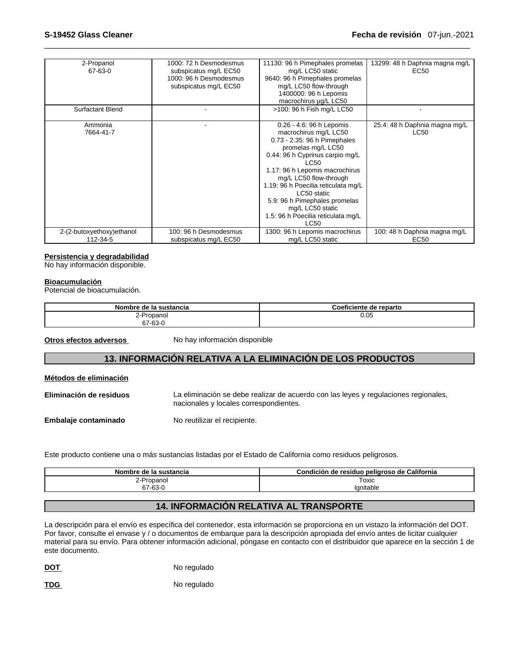| 2-Propanol<br>67-63-0                 | 1000: 72 h Desmodesmus<br>subspicatus mg/L EC50<br>1000: 96 h Desmodesmus<br>subspicatus mg/L EC50 | 11130: 96 h Pimephales promelas<br>mg/L LC50 static<br>9640: 96 h Pimephales promelas<br>mg/L LC50 flow-through<br>1400000: 96 h Lepomis<br>macrochirus ug/L LC50                                                                                                                                                                                                                     | 13299: 48 h Daphnia magna mg/L<br>EC50           |
|---------------------------------------|----------------------------------------------------------------------------------------------------|---------------------------------------------------------------------------------------------------------------------------------------------------------------------------------------------------------------------------------------------------------------------------------------------------------------------------------------------------------------------------------------|--------------------------------------------------|
| <b>Surfactant Blend</b>               |                                                                                                    | >100: 96 h Fish mg/L LC50                                                                                                                                                                                                                                                                                                                                                             |                                                  |
| Ammonia<br>7664-41-7                  |                                                                                                    | 0.26 - 4.6: 96 h Lepomis<br>macrochirus mg/L LC50<br>0.73 - 2.35: 96 h Pimephales<br>promelas mg/L LC50<br>0.44: 96 h Cyprinus carpio mg/L<br><b>LC50</b><br>1.17: 96 h Lepomis macrochirus<br>mg/L LC50 flow-through<br>1.19: 96 h Poecilia reticulata mg/L<br>LC50 static<br>5.9: 96 h Pimephales promelas<br>mg/L LC50 static<br>1.5: 96 h Poecilia reticulata mg/L<br><b>LC50</b> | 25.4: 48 h Daphnia magna mg/L<br>LC50            |
| 2-(2-butoxyethoxy)ethanol<br>112-34-5 | 100: 96 h Desmodesmus<br>subspicatus mg/L EC50                                                     | 1300: 96 h Lepomis macrochirus<br>mg/L LC50 static                                                                                                                                                                                                                                                                                                                                    | 100: 48 h Daphnia magna mg/L<br>EC <sub>50</sub> |

#### **Persistencia y degradabilidad**

No hay información disponible.

#### **Bioacumulación**

Potencial de bioacumulación.

| Nombre de la sustancia | Coeficiente de reparto |
|------------------------|------------------------|
| ?-Propanol             | 0.05                   |
| 67-63-0                |                        |

**Métodos de eliminación**

**Otros efectos adversos** No hay información disponible

# **13. INFORMACIÓN RELATIVA A LA ELIMINACIÓN DE LOS PRODUCTOS**

| Metodos de eliminación  |                                                                                                                               |
|-------------------------|-------------------------------------------------------------------------------------------------------------------------------|
| Eliminación de residuos | La eliminación se debe realizar de acuerdo con las leyes y regulaciones regionales,<br>nacionales y locales correspondientes. |
| Embalaje contaminado    | No reutilizar el recipiente.                                                                                                  |

Este producto contiene una o más sustancias listadas por el Estado de California como residuos peligrosos.

| ⊦sustancia<br>de<br><b>Nombre</b><br>-14 | California<br>$- -$<br>Condición<br>peligroso de<br>ae.<br>resiauc |
|------------------------------------------|--------------------------------------------------------------------|
| Propanol                                 | Toxic                                                              |
| $\sim$<br>co o<br>o / -oɔ-<br>.          | lanitable                                                          |

# **14. INFORMACIÓN RELATIVA AL TRANSPORTE**

La descripción para el envío es específica del contenedor, esta información se proporciona en un vistazo la información del DOT. Por favor, consulte el envase y / o documentos de embarque para la descripción apropiada del envío antes de licitar cualquier material para su envío. Para obtener información adicional, póngase en contacto con el distribuidor que aparece en la sección 1 de este documento.

**DOT** No regulado

TDG No regulado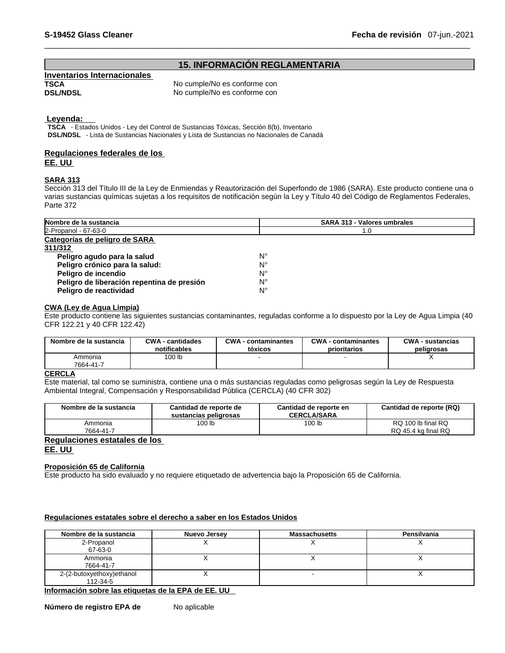# **15. INFORMACIÓN REGLAMENTARIA**

# **Inventarios Internacionales TSCA No cumple/No es conforme con**<br> **No cumple/No es conforme con**<br>
No cumple/No es conforme con

No cumple/No es conforme con

#### **Leyenda:**

**TSCA** - Estados Unidos - Ley del Control de Sustancias Tóxicas, Sección 8(b), Inventario **DSL/NDSL** - Lista de Sustancias Nacionales y Lista de Sustancias no Nacionales de Canadá

# **Regulaciones federales de los**

**EE. UU**

#### **SARA 313**

Sección 313 del Título III de la Ley de Enmiendas y Reautorización del Superfondo de 1986 (SARA). Este producto contiene una o varias sustancias químicas sujetas a los requisitos de notificación según la Ley y Título 40 del Código de Reglamentos Federales, Parte 372

| Nombre de la sustancia                     | <b>SARA 313 - Valores umbrales</b> |  |  |
|--------------------------------------------|------------------------------------|--|--|
| 2-Propanol - 67-63-0                       | 1.0                                |  |  |
| Categorías de peligro de SARA              |                                    |  |  |
| 311/312                                    |                                    |  |  |
| Peligro agudo para la salud                | Ν°                                 |  |  |
| Peligro crónico para la salud:             | Ν°                                 |  |  |
| Peligro de incendio                        | Ν°                                 |  |  |
| Peligro de liberación repentina de presión | Ν°                                 |  |  |
| Peligro de reactividad                     | Ν°                                 |  |  |

#### **CWA (Ley de Agua Limpia)**

Este producto contiene las siguientes sustancias contaminantes, reguladas conforme a lo dispuesto por la Ley de Agua Limpia (40 CFR 122.21 y 40 CFR 122.42)

| Nombre de la sustancia | <b>CWA - cantidades</b> | <b>CWA</b> - contaminantes | <b>CWA</b> - contaminantes | <b>CWA - sustancias</b> |
|------------------------|-------------------------|----------------------------|----------------------------|-------------------------|
|                        | notificables            | tóxicos                    | prioritarios               | peligrosas              |
| Ammonia<br>7664-41-7   | 100 lb                  |                            |                            |                         |

#### **CERCLA**

Este material, tal como se suministra, contiene una o más sustancias reguladas como peligrosas según la Ley de Respuesta Ambiental Integral, Compensación y Responsabilidad Pública (CERCLA) (40 CFR 302)

| Nombre de la sustancia               | Cantidad de reporte de<br>sustancias peligrosas | Cantidad de reporte en<br><b>CERCLA/SARA</b> | Cantidad de reporte (RQ) |  |
|--------------------------------------|-------------------------------------------------|----------------------------------------------|--------------------------|--|
| Ammonia                              | 100 <sub>lb</sub>                               | 100 <sub>lb</sub>                            | RQ 100 lb final RQ       |  |
| 7664-41-7                            |                                                 |                                              | RQ 45.4 kg final RQ      |  |
| <b>Degulaciones estatales de les</b> |                                                 |                                              |                          |  |

#### **Regulaciones estatales de los EE. UU**

#### **Proposición 65 de California**

Este producto ha sido evaluado y no requiere etiquetado de advertencia bajo la Proposición 65 de California.

#### **Regulaciones estatales sobre el derecho a saber en los Estados Unidos**

| Nombre de la sustancia                                                                                                                                                                                                         | Nuevo Jersey | <b>Massachusetts</b> | Pensilvania |
|--------------------------------------------------------------------------------------------------------------------------------------------------------------------------------------------------------------------------------|--------------|----------------------|-------------|
| 2-Propanol<br>67-63-0                                                                                                                                                                                                          |              |                      |             |
| Ammonia<br>7664-41-7                                                                                                                                                                                                           |              |                      |             |
| 2-(2-butoxyethoxy)ethanol<br>112-34-5                                                                                                                                                                                          |              |                      |             |
| the formation of the second continuous control of the FLOR and the FLOR and the first continuous control of the control of the control of the control of the control of the control of the control of the control of the contr |              |                      |             |

**Información sobre las etiquetas de la EPA de EE. UU**